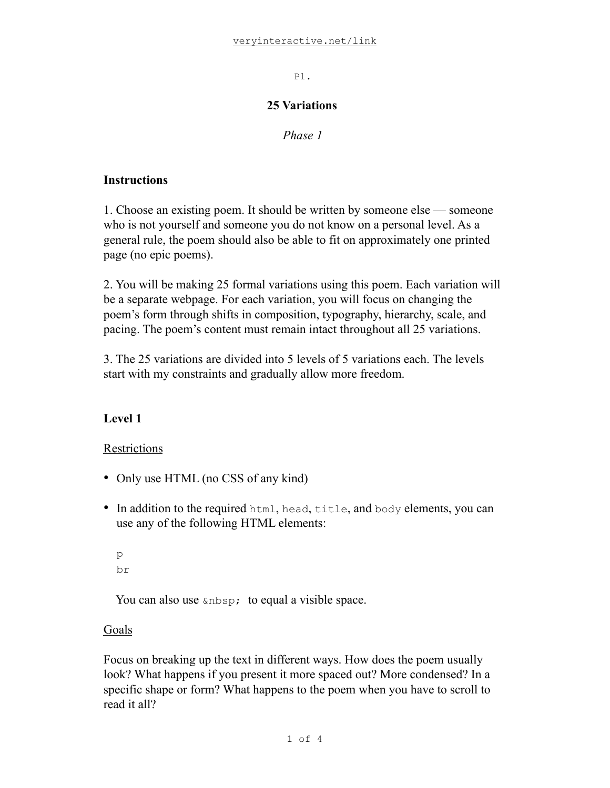P1.

## **25 Variations**

*Phase 1* 

## **Instructions**

1. Choose an existing poem. It should be written by someone else — someone who is not yourself and someone you do not know on a personal level. As a general rule, the poem should also be able to fit on approximately one printed page (no epic poems).

2. You will be making 25 formal variations using this poem. Each variation will be a separate webpage. For each variation, you will focus on changing the poem's form through shifts in composition, typography, hierarchy, scale, and pacing. The poem's content must remain intact throughout all 25 variations.

3. The 25 variations are divided into 5 levels of 5 variations each. The levels start with my constraints and gradually allow more freedom.

# **Level 1**

# **Restrictions**

- Only use HTML (no CSS of any kind)
- In addition to the required html, head, title, and body elements, you can use any of the following HTML elements:

```
p
br
```
You can also use  $\epsilon$ nbsp; to equal a visible space.

# Goals

Focus on breaking up the text in different ways. How does the poem usually look? What happens if you present it more spaced out? More condensed? In a specific shape or form? What happens to the poem when you have to scroll to read it all?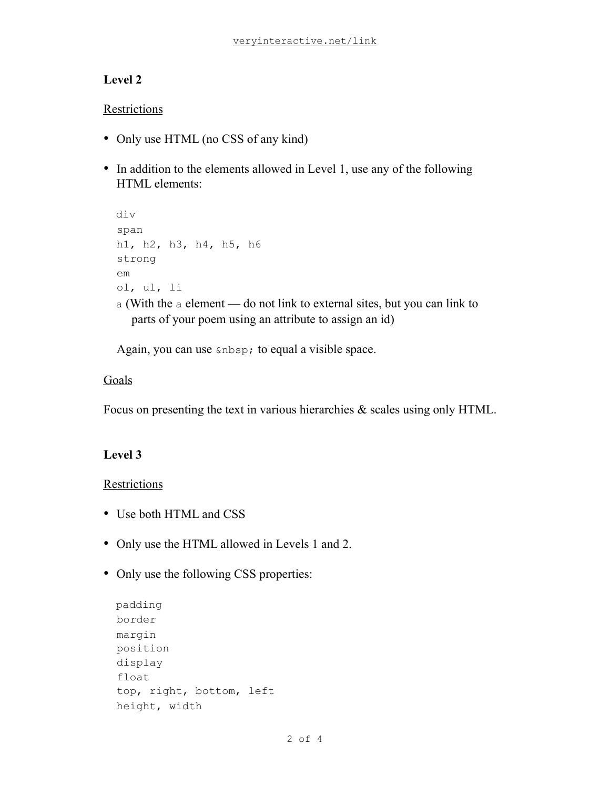# **Level 2**

## Restrictions

- Only use HTML (no CSS of any kind)
- In addition to the elements allowed in Level 1, use any of the following HTML elements:

```
 div 
 span 
 h1, h2, h3, h4, h5, h6 
 strong 
 em 
 ol, ul, li 
 a (With the a element — do not link to external sites, but you can link to 
    parts of your poem using an attribute to assign an id)
```
Again, you can use  $\epsilon$ nbsp; to equal a visible space.

## Goals

Focus on presenting the text in various hierarchies & scales using only HTML.

# **Level 3**

## **Restrictions**

- Use both HTML and CSS
- Only use the HTML allowed in Levels 1 and 2.
- Only use the following CSS properties:

```
 padding 
 border 
 margin 
 position 
 display 
 float 
 top, right, bottom, left 
 height, width
```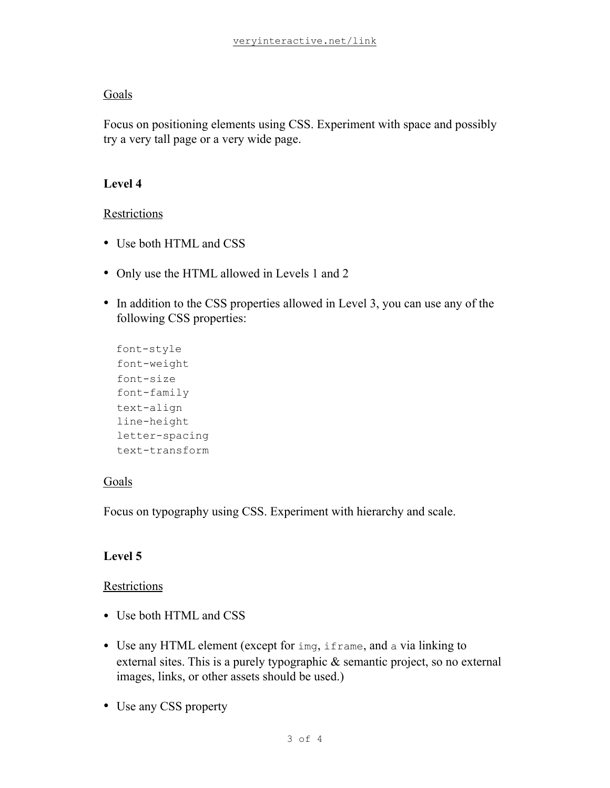## Goals

Focus on positioning elements using CSS. Experiment with space and possibly try a very tall page or a very wide page.

# **Level 4**

## Restrictions

- Use both HTML and CSS
- Only use the HTML allowed in Levels 1 and 2
- In addition to the CSS properties allowed in Level 3, you can use any of the following CSS properties:

```
 font-style 
 font-weight 
 font-size 
 font-family 
 text-align 
 line-height 
 letter-spacing 
 text-transform
```
## Goals

Focus on typography using CSS. Experiment with hierarchy and scale.

## **Level 5**

#### Restrictions

- Use both HTML and CSS
- Use any HTML element (except for img, if rame, and a via linking to external sites. This is a purely typographic & semantic project, so no external images, links, or other assets should be used.)
- Use any CSS property